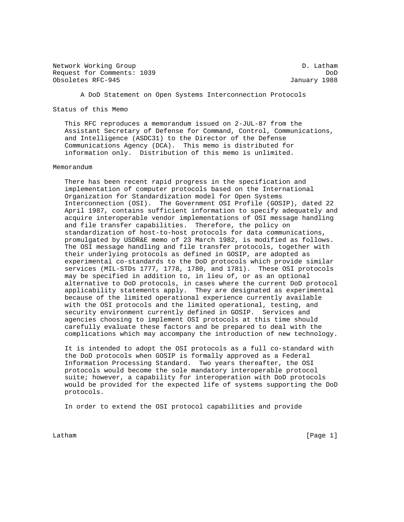Network Working Group Description of the U.S. of the U.S. of the U.S. Latham Request for Comments: 1039 DoD Obsoletes RFC-945 January 1988

A DoD Statement on Open Systems Interconnection Protocols

Status of this Memo

 This RFC reproduces a memorandum issued on 2-JUL-87 from the Assistant Secretary of Defense for Command, Control, Communications, and Intelligence (ASDC31) to the Director of the Defense Communications Agency (DCA). This memo is distributed for information only. Distribution of this memo is unlimited.

## Memorandum

 There has been recent rapid progress in the specification and implementation of computer protocols based on the International Organization for Standardization model for Open Systems Interconnection (OSI). The Government OSI Profile (GOSIP), dated 22 April 1987, contains sufficient information to specify adequately and acquire interoperable vendor implementations of OSI message handling and file transfer capabilities. Therefore, the policy on standardization of host-to-host protocols for data communications, promulgated by USDR&E memo of 23 March 1982, is modified as follows. The OSI message handling and file transfer protocols, together with their underlying protocols as defined in GOSIP, are adopted as experimental co-standards to the DoD protocols which provide similar services (MIL-STDs 1777, 1778, 1780, and 1781). These OSI protocols may be specified in addition to, in lieu of, or as an optional alternative to DoD protocols, in cases where the current DoD protocol applicability statements apply. They are designated as experimental because of the limited operational experience currently available with the OSI protocols and the limited operational, testing, and security environment currently defined in GOSIP. Services and agencies choosing to implement OSI protocols at this time should carefully evaluate these factors and be prepared to deal with the complications which may accompany the introduction of new technology.

 It is intended to adopt the OSI protocols as a full co-standard with the DoD protocols when GOSIP is formally approved as a Federal Information Processing Standard. Two years thereafter, the OSI protocols would become the sole mandatory interoperable protocol suite; however, a capability for interoperation with DoD protocols would be provided for the expected life of systems supporting the DoD protocols.

In order to extend the OSI protocol capabilities and provide

Latham [Page 1]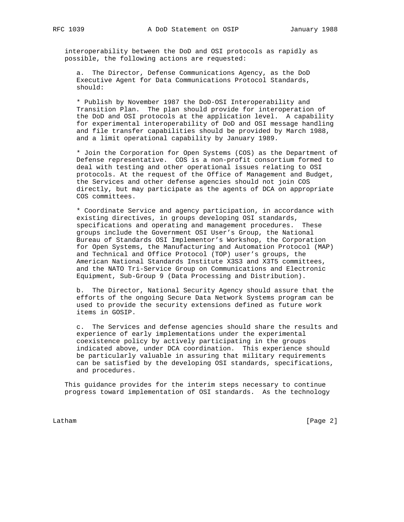interoperability between the DoD and OSI protocols as rapidly as possible, the following actions are requested:

 a. The Director, Defense Communications Agency, as the DoD Executive Agent for Data Communications Protocol Standards, should:

 \* Publish by November 1987 the DoD-OSI Interoperability and Transition Plan. The plan should provide for interoperation of the DoD and OSI protocols at the application level. A capability for experimental interoperability of DoD and OSI message handling and file transfer capabilities should be provided by March 1988, and a limit operational capability by January 1989.

 \* Join the Corporation for Open Systems (COS) as the Department of Defense representative. COS is a non-profit consortium formed to deal with testing and other operational issues relating to OSI protocols. At the request of the Office of Management and Budget, the Services and other defense agencies should not join COS directly, but may participate as the agents of DCA on appropriate COS committees.

 \* Coordinate Service and agency participation, in accordance with existing directives, in groups developing OSI standards, specifications and operating and management procedures. These groups include the Government OSI User's Group, the National Bureau of Standards OSI Implementor's Workshop, the Corporation for Open Systems, the Manufacturing and Automation Protocol (MAP) and Technical and Office Protocol (TOP) user's groups, the American National Standards Institute X3S3 and X3T5 committees, and the NATO Tri-Service Group on Communications and Electronic Equipment, Sub-Group 9 (Data Processing and Distribution).

 b. The Director, National Security Agency should assure that the efforts of the ongoing Secure Data Network Systems program can be used to provide the security extensions defined as future work items in GOSIP.

 c. The Services and defense agencies should share the results and experience of early implementations under the experimental coexistence policy by actively participating in the groups indicated above, under DCA coordination. This experience should be particularly valuable in assuring that military requirements can be satisfied by the developing OSI standards, specifications, and procedures.

 This guidance provides for the interim steps necessary to continue progress toward implementation of OSI standards. As the technology

Latham [Page 2]